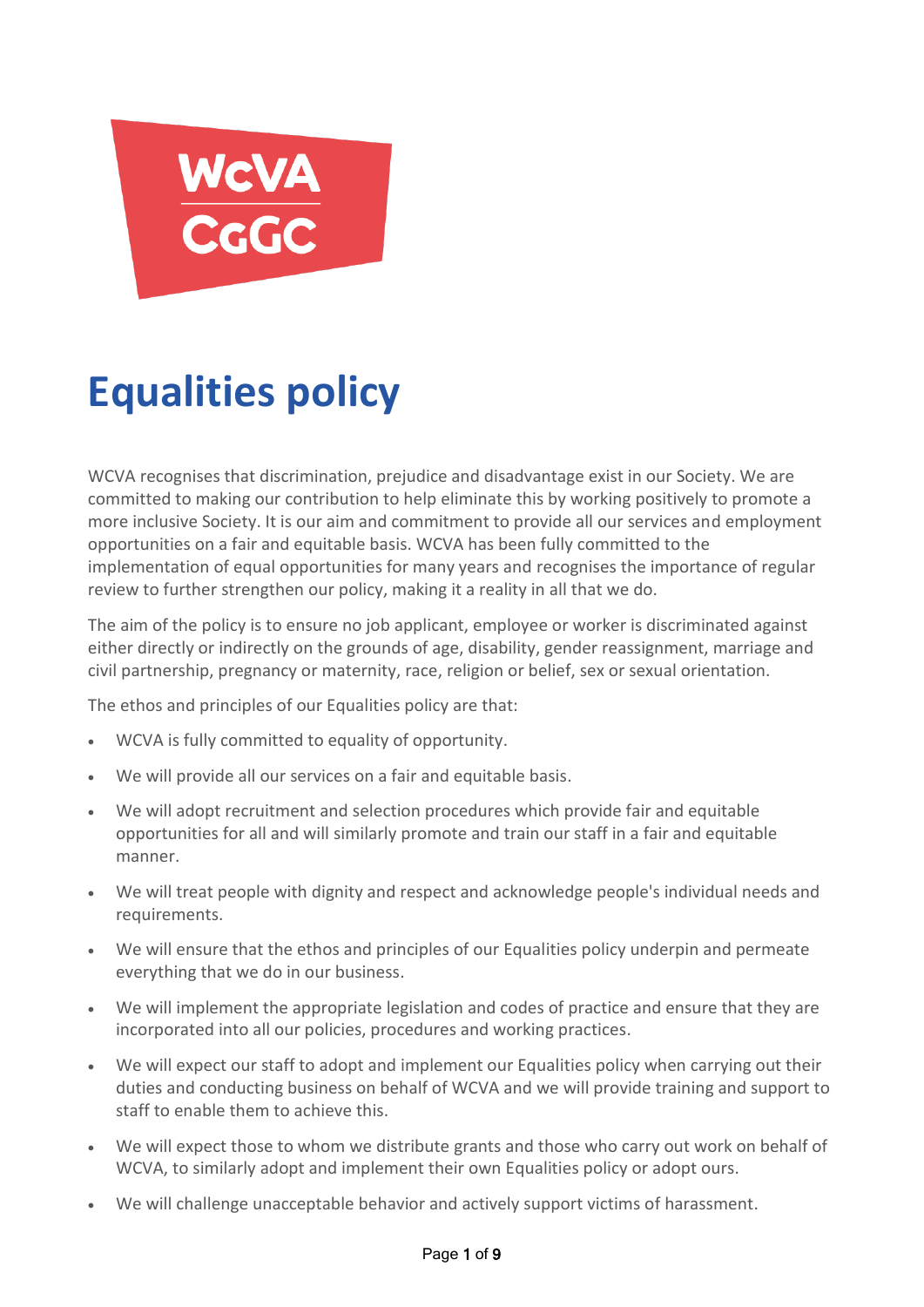

# **Equalities policy**

WCVA recognises that discrimination, prejudice and disadvantage exist in our Society. We are committed to making our contribution to help eliminate this by working positively to promote a more inclusive Society. It is our aim and commitment to provide all our services and employment opportunities on a fair and equitable basis. WCVA has been fully committed to the implementation of equal opportunities for many years and recognises the importance of regular review to further strengthen our policy, making it a reality in all that we do.

The aim of the policy is to ensure no job applicant, employee or worker is discriminated against either directly or indirectly on the grounds of age, disability, gender reassignment, marriage and civil partnership, pregnancy or maternity, race, religion or belief, sex or sexual orientation.

The ethos and principles of our Equalities policy are that:

- WCVA is fully committed to equality of opportunity.
- We will provide all our services on a fair and equitable basis.
- We will adopt recruitment and selection procedures which provide fair and equitable opportunities for all and will similarly promote and train our staff in a fair and equitable manner.
- We will treat people with dignity and respect and acknowledge people's individual needs and requirements.
- We will ensure that the ethos and principles of our Equalities policy underpin and permeate everything that we do in our business.
- We will implement the appropriate legislation and codes of practice and ensure that they are incorporated into all our policies, procedures and working practices.
- We will expect our staff to adopt and implement our Equalities policy when carrying out their duties and conducting business on behalf of WCVA and we will provide training and support to staff to enable them to achieve this.
- We will expect those to whom we distribute grants and those who carry out work on behalf of WCVA, to similarly adopt and implement their own Equalities policy or adopt ours.
- We will challenge unacceptable behavior and actively support victims of harassment.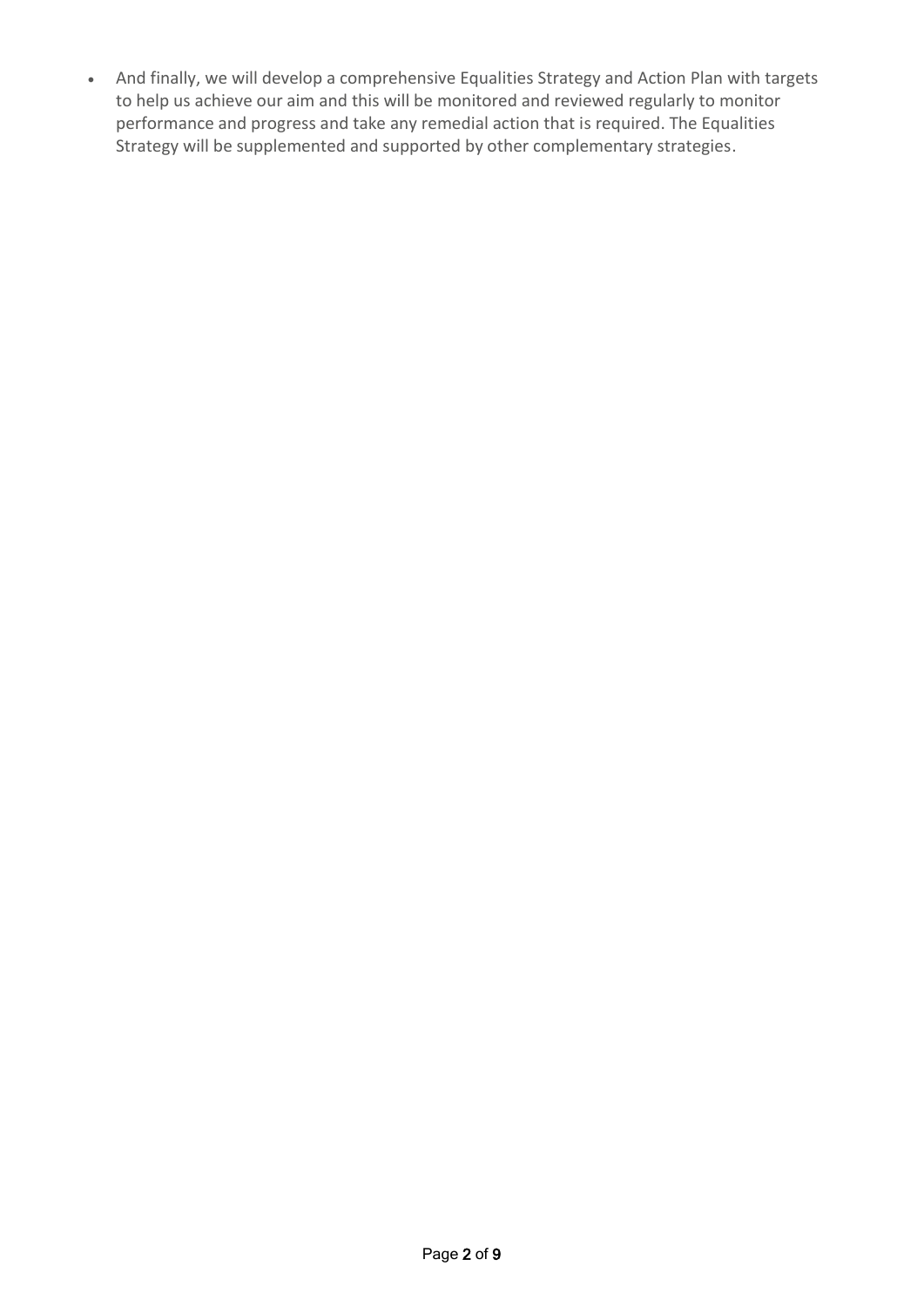And finally, we will develop a comprehensive Equalities Strategy and Action Plan with targets to help us achieve our aim and this will be monitored and reviewed regularly to monitor performance and progress and take any remedial action that is required. The Equalities Strategy will be supplemented and supported by other complementary strategies.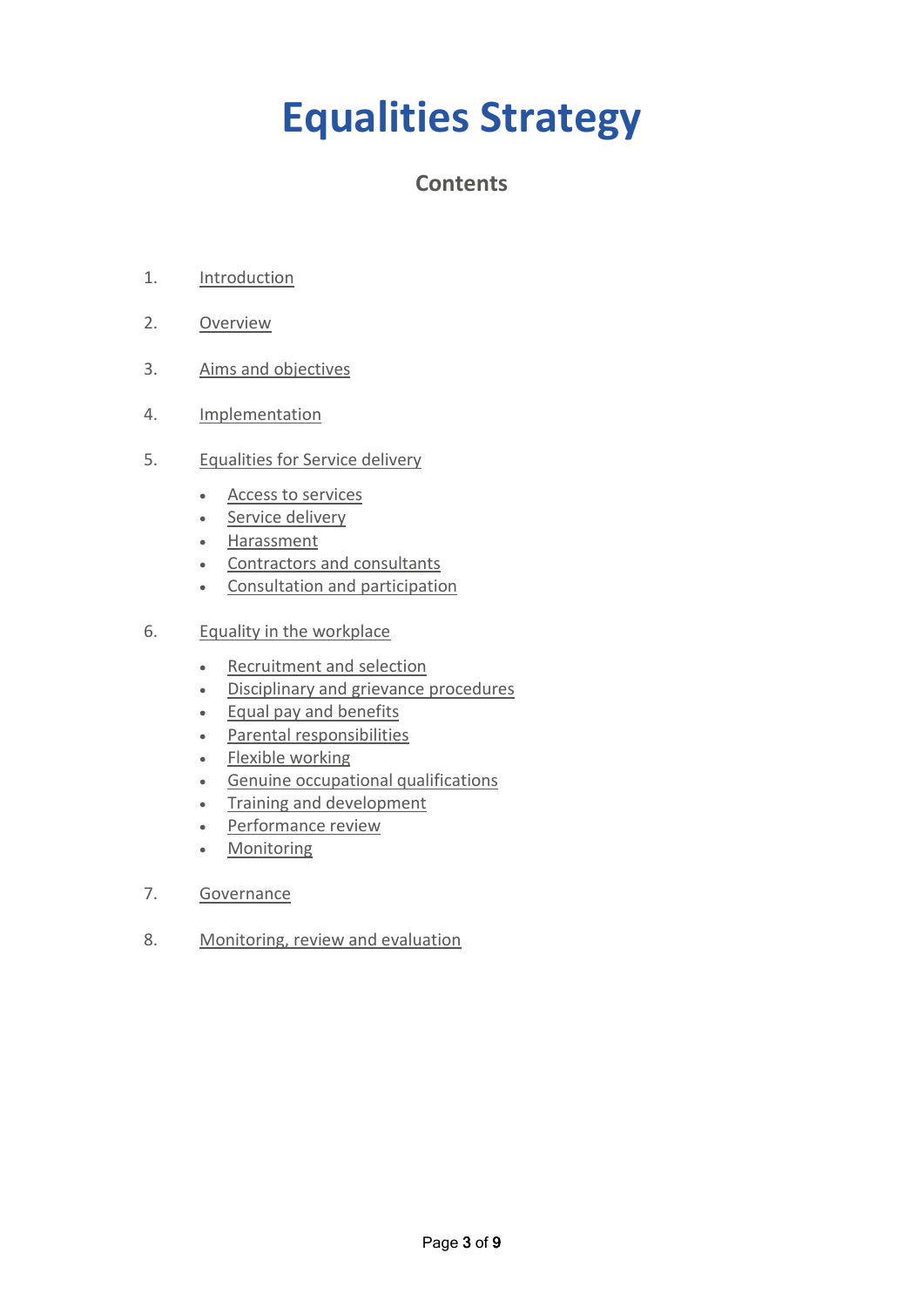# **Equalities Strategy**

## **Contents**

- 1. [Introduction](#page-3-0)
- 2. [Overview](#page-3-1)
- 3. [Aims and objectives](#page-4-0)
- 4. [Implementation](#page-4-1)
- 5. [Equalities for Service delivery](#page-5-0) 
	- [Access to services](#page-5-1)
	- Service delivery
	- [Harassment](#page-5-2)
	- [Contractors and consultants](#page-5-3)
	- [Consultation and participation](#page-6-0)
- 6. [Equality in the workplace](#page-6-1) 
	- [Recruitment and selection](#page-6-2)
	- [Disciplinary and grievance procedures](#page-6-3)
	- Equal pay and benefits
	- [Parental responsibilities](#page-7-1)
	- Flexible working
	- **•** Genuine occupational qualifications
	- Training and development
	- Performance review
	- Monitoring
- 7. [Governance](#page-8-0)
- 8. [Monitoring, review and evaluation](#page-8-1)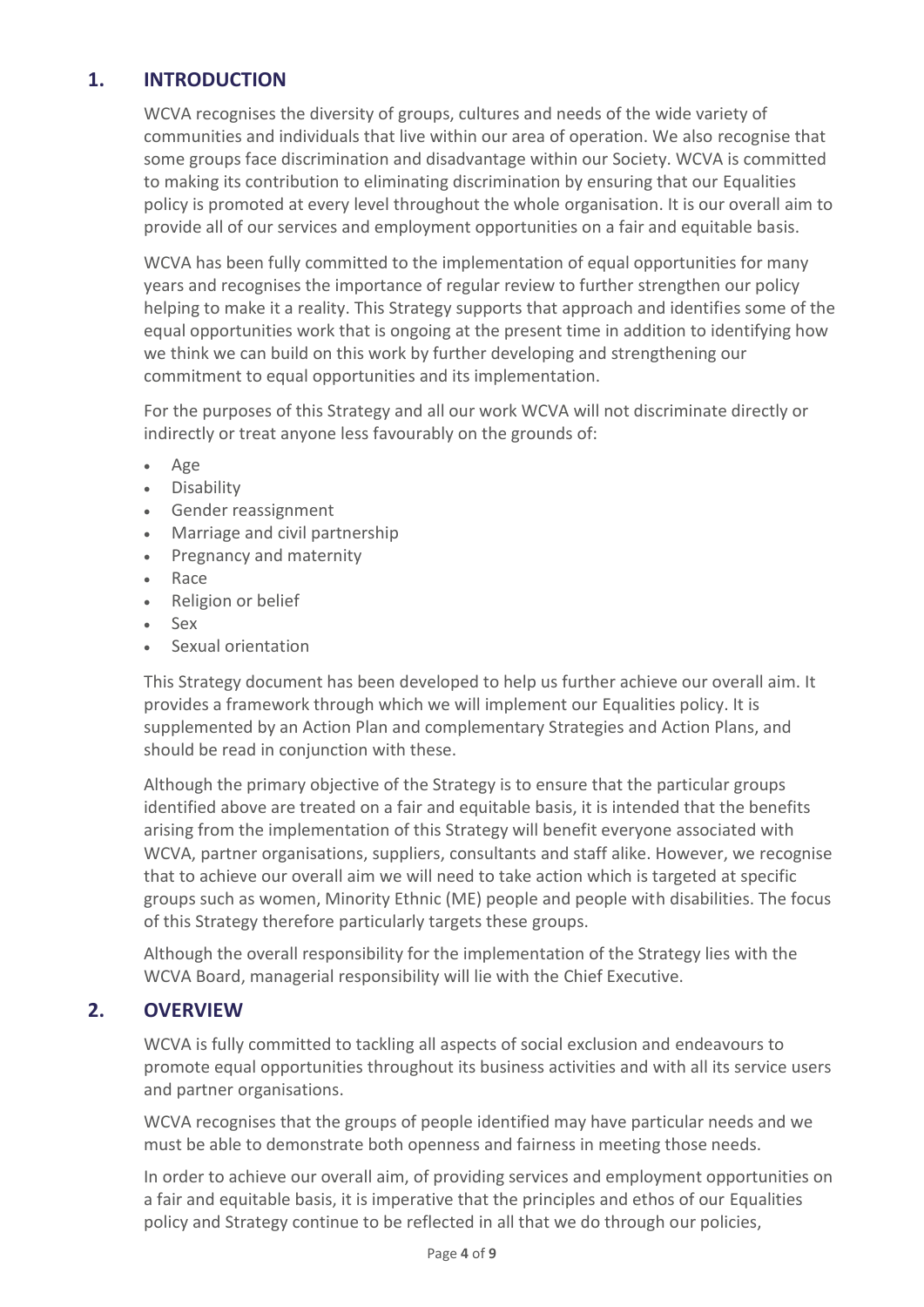## <span id="page-3-0"></span>**1. INTRODUCTION**

WCVA recognises the diversity of groups, cultures and needs of the wide variety of communities and individuals that live within our area of operation. We also recognise that some groups face discrimination and disadvantage within our Society. WCVA is committed to making its contribution to eliminating discrimination by ensuring that our Equalities policy is promoted at every level throughout the whole organisation. It is our overall aim to provide all of our services and employment opportunities on a fair and equitable basis.

WCVA has been fully committed to the implementation of equal opportunities for many years and recognises the importance of regular review to further strengthen our policy helping to make it a reality. This Strategy supports that approach and identifies some of the equal opportunities work that is ongoing at the present time in addition to identifying how we think we can build on this work by further developing and strengthening our commitment to equal opportunities and its implementation.

For the purposes of this Strategy and all our work WCVA will not discriminate directly or indirectly or treat anyone less favourably on the grounds of:

- Age
- Disability
- Gender reassignment
- Marriage and civil partnership
- Pregnancy and maternity
- Race
- Religion or belief
- Sex
- Sexual orientation

This Strategy document has been developed to help us further achieve our overall aim. It provides a framework through which we will implement our Equalities policy. It is supplemented by an Action Plan and complementary Strategies and Action Plans, and should be read in conjunction with these.

Although the primary objective of the Strategy is to ensure that the particular groups identified above are treated on a fair and equitable basis, it is intended that the benefits arising from the implementation of this Strategy will benefit everyone associated with WCVA, partner organisations, suppliers, consultants and staff alike. However, we recognise that to achieve our overall aim we will need to take action which is targeted at specific groups such as women, Minority Ethnic (ME) people and people with disabilities. The focus of this Strategy therefore particularly targets these groups.

Although the overall responsibility for the implementation of the Strategy lies with the WCVA Board, managerial responsibility will lie with the Chief Executive.

## **2. OVERVIEW**

<span id="page-3-1"></span>WCVA is fully committed to tackling all aspects of social exclusion and endeavours to promote equal opportunities throughout its business activities and with all its service users and partner organisations.

WCVA recognises that the groups of people identified may have particular needs and we must be able to demonstrate both openness and fairness in meeting those needs.

In order to achieve our overall aim, of providing services and employment opportunities on a fair and equitable basis, it is imperative that the principles and ethos of our Equalities policy and Strategy continue to be reflected in all that we do through our policies,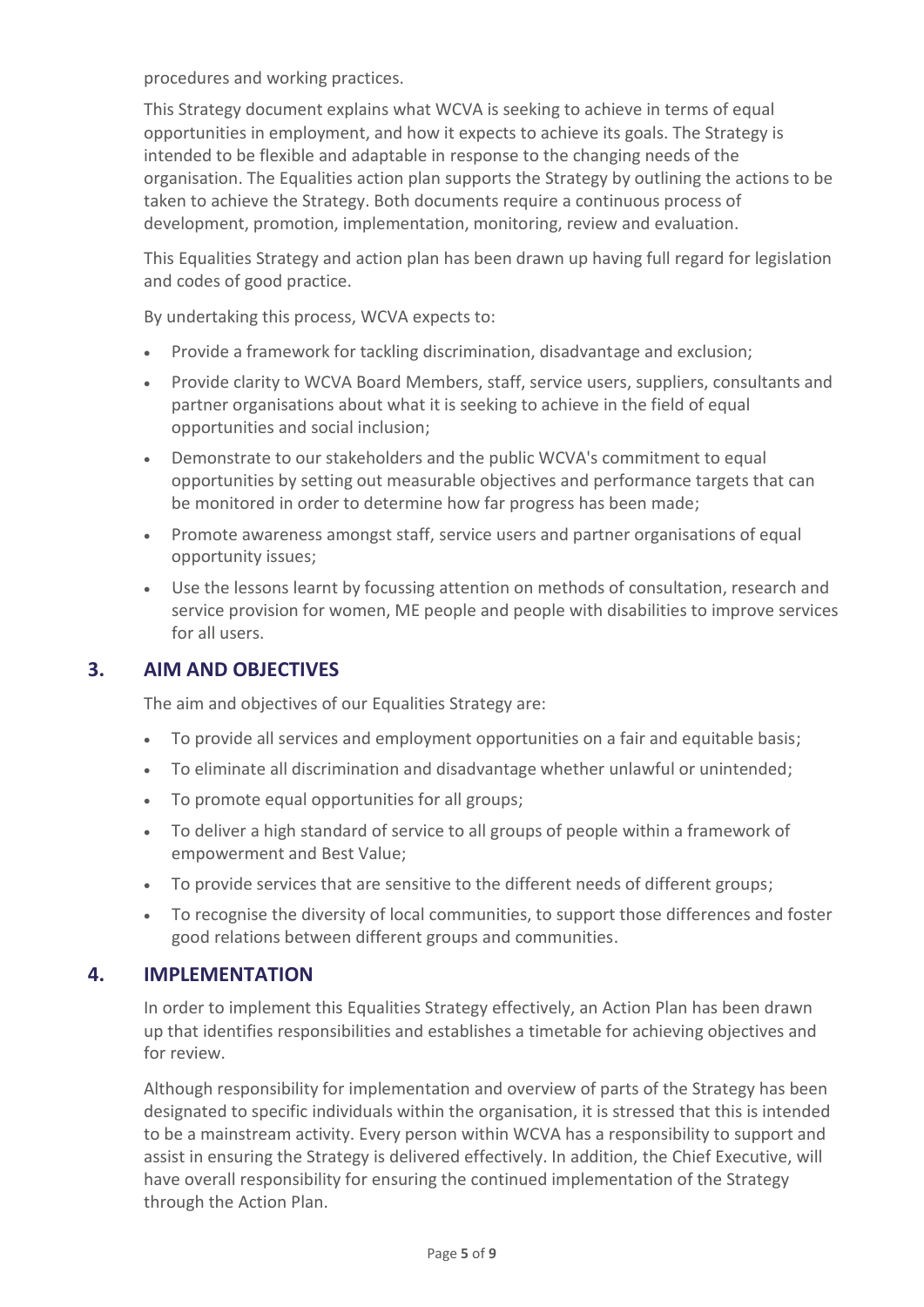procedures and working practices.

This Strategy document explains what WCVA is seeking to achieve in terms of equal opportunities in employment, and how it expects to achieve its goals. The Strategy is intended to be flexible and adaptable in response to the changing needs of the organisation. The Equalities action plan supports the Strategy by outlining the actions to be taken to achieve the Strategy. Both documents require a continuous process of development, promotion, implementation, monitoring, review and evaluation.

This Equalities Strategy and action plan has been drawn up having full regard for legislation and codes of good practice.

By undertaking this process, WCVA expects to:

- Provide a framework for tackling discrimination, disadvantage and exclusion;
- Provide clarity to WCVA Board Members, staff, service users, suppliers, consultants and partner organisations about what it is seeking to achieve in the field of equal opportunities and social inclusion;
- Demonstrate to our stakeholders and the public WCVA's commitment to equal opportunities by setting out measurable objectives and performance targets that can be monitored in order to determine how far progress has been made;
- Promote awareness amongst staff, service users and partner organisations of equal opportunity issues;
- Use the lessons learnt by focussing attention on methods of consultation, research and service provision for women, ME people and people with disabilities to improve services for all users.

#### **3. AIM AND OBJECTIVES**

<span id="page-4-0"></span>The aim and objectives of our Equalities Strategy are:

- To provide all services and employment opportunities on a fair and equitable basis;
- To eliminate all discrimination and disadvantage whether unlawful or unintended;
- To promote equal opportunities for all groups;
- To deliver a high standard of service to all groups of people within a framework of empowerment and Best Value;
- To provide services that are sensitive to the different needs of different groups;
- To recognise the diversity of local communities, to support those differences and foster good relations between different groups and communities.

#### **4. IMPLEMENTATION**

<span id="page-4-1"></span>In order to implement this Equalities Strategy effectively, an Action Plan has been drawn up that identifies responsibilities and establishes a timetable for achieving objectives and for review.

Although responsibility for implementation and overview of parts of the Strategy has been designated to specific individuals within the organisation, it is stressed that this is intended to be a mainstream activity. Every person within WCVA has a responsibility to support and assist in ensuring the Strategy is delivered effectively. In addition, the Chief Executive, will have overall responsibility for ensuring the continued implementation of the Strategy through the Action Plan.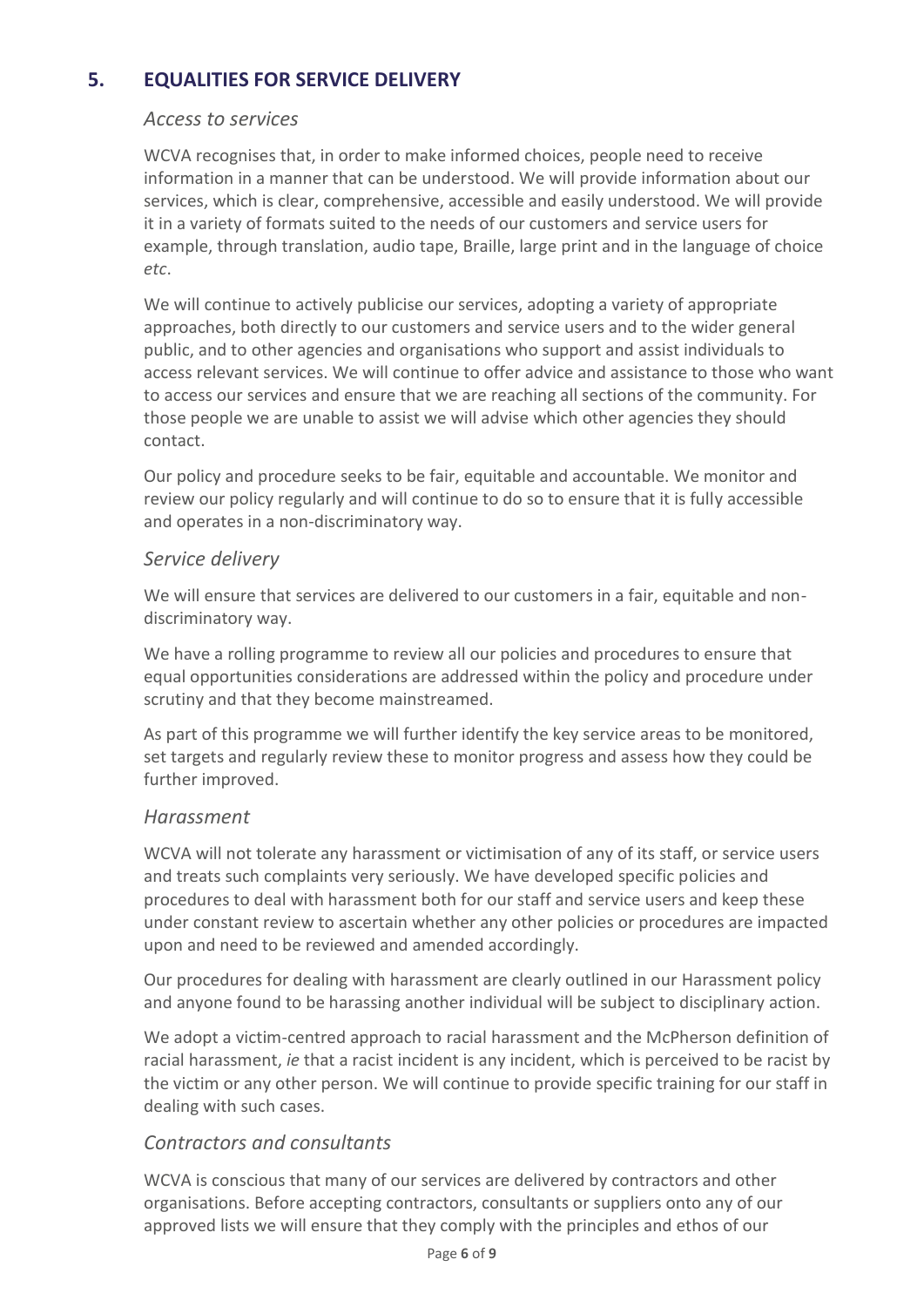## <span id="page-5-1"></span>**5. EQUALITIES FOR SERVICE DELIVERY**

#### *Access to services*

WCVA recognises that, in order to make informed choices, people need to receive information in a manner that can be understood. We will provide information about our services, which is clear, comprehensive, accessible and easily understood. We will provide it in a variety of formats suited to the needs of our customers and service users for example, through translation, audio tape, Braille, large print and in the language of choice *etc*.

We will continue to actively publicise our services, adopting a variety of appropriate approaches, both directly to our customers and service users and to the wider general public, and to other agencies and organisations who support and assist individuals to access relevant services. We will continue to offer advice and assistance to those who want to access our services and ensure that we are reaching all sections of the community. For those people we are unable to assist we will advise which other agencies they should contact.

Our policy and procedure seeks to be fair, equitable and accountable. We monitor and review our policy regularly and will continue to do so to ensure that it is fully accessible and operates in a non-discriminatory way.

#### <span id="page-5-0"></span>*Service delivery*

We will ensure that services are delivered to our customers in a fair, equitable and nondiscriminatory way.

We have a rolling programme to review all our policies and procedures to ensure that equal opportunities considerations are addressed within the policy and procedure under scrutiny and that they become mainstreamed.

As part of this programme we will further identify the key service areas to be monitored, set targets and regularly review these to monitor progress and assess how they could be further improved.

#### <span id="page-5-2"></span>*Harassment*

WCVA will not tolerate any harassment or victimisation of any of its staff, or service users and treats such complaints very seriously. We have developed specific policies and procedures to deal with harassment both for our staff and service users and keep these under constant review to ascertain whether any other policies or procedures are impacted upon and need to be reviewed and amended accordingly.

Our procedures for dealing with harassment are clearly outlined in our Harassment policy and anyone found to be harassing another individual will be subject to disciplinary action.

We adopt a victim-centred approach to racial harassment and the McPherson definition of racial harassment, *ie* that a racist incident is any incident, which is perceived to be racist by the victim or any other person. We will continue to provide specific training for our staff in dealing with such cases.

## <span id="page-5-3"></span>*Contractors and consultants*

WCVA is conscious that many of our services are delivered by contractors and other organisations. Before accepting contractors, consultants or suppliers onto any of our approved lists we will ensure that they comply with the principles and ethos of our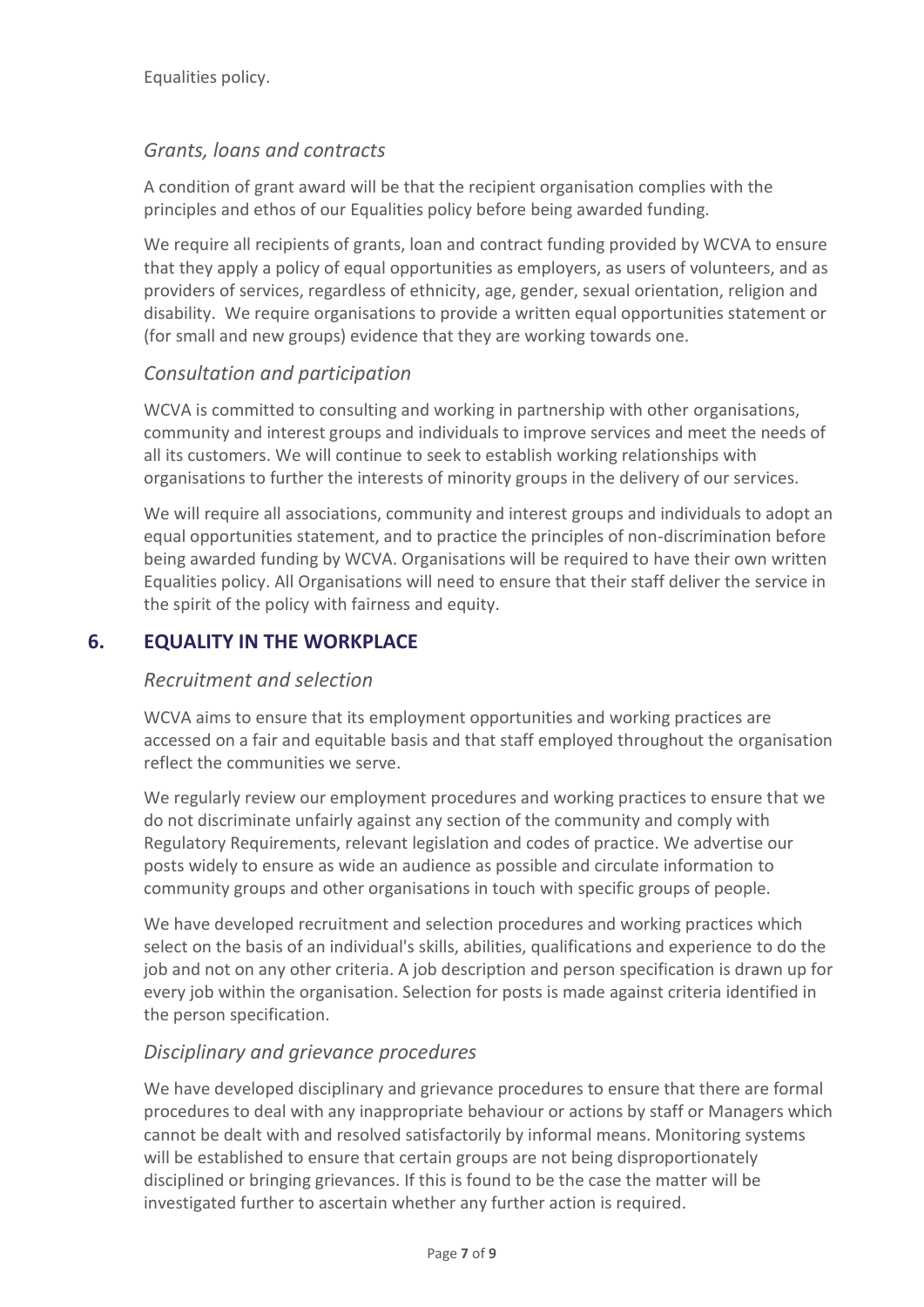#### *Grants, loans and contracts*

A condition of grant award will be that the recipient organisation complies with the principles and ethos of our Equalities policy before being awarded funding.

We require all recipients of grants, loan and contract funding provided by WCVA to ensure that they apply a policy of equal opportunities as employers, as users of volunteers, and as providers of services, regardless of ethnicity, age, gender, sexual orientation, religion and disability. We require organisations to provide a written equal opportunities statement or (for small and new groups) evidence that they are working towards one.

#### <span id="page-6-0"></span>*Consultation and participation*

WCVA is committed to consulting and working in partnership with other organisations, community and interest groups and individuals to improve services and meet the needs of all its customers. We will continue to seek to establish working relationships with organisations to further the interests of minority groups in the delivery of our services.

We will require all associations, community and interest groups and individuals to adopt an equal opportunities statement, and to practice the principles of non-discrimination before being awarded funding by WCVA. Organisations will be required to have their own written Equalities policy. All Organisations will need to ensure that their staff deliver the service in the spirit of the policy with fairness and equity.

#### <span id="page-6-2"></span>**6. EQUALITY IN THE WORKPLACE**

#### <span id="page-6-1"></span>*Recruitment and selection*

WCVA aims to ensure that its employment opportunities and working practices are accessed on a fair and equitable basis and that staff employed throughout the organisation reflect the communities we serve.

We regularly review our employment procedures and working practices to ensure that we do not discriminate unfairly against any section of the community and comply with Regulatory Requirements, relevant legislation and codes of practice. We advertise our posts widely to ensure as wide an audience as possible and circulate information to community groups and other organisations in touch with specific groups of people.

We have developed recruitment and selection procedures and working practices which select on the basis of an individual's skills, abilities, qualifications and experience to do the job and not on any other criteria. A job description and person specification is drawn up for every job within the organisation. Selection for posts is made against criteria identified in the person specification.

#### <span id="page-6-3"></span>*Disciplinary and grievance procedures*

We have developed disciplinary and grievance procedures to ensure that there are formal procedures to deal with any inappropriate behaviour or actions by staff or Managers which cannot be dealt with and resolved satisfactorily by informal means. Monitoring systems will be established to ensure that certain groups are not being disproportionately disciplined or bringing grievances. If this is found to be the case the matter will be investigated further to ascertain whether any further action is required.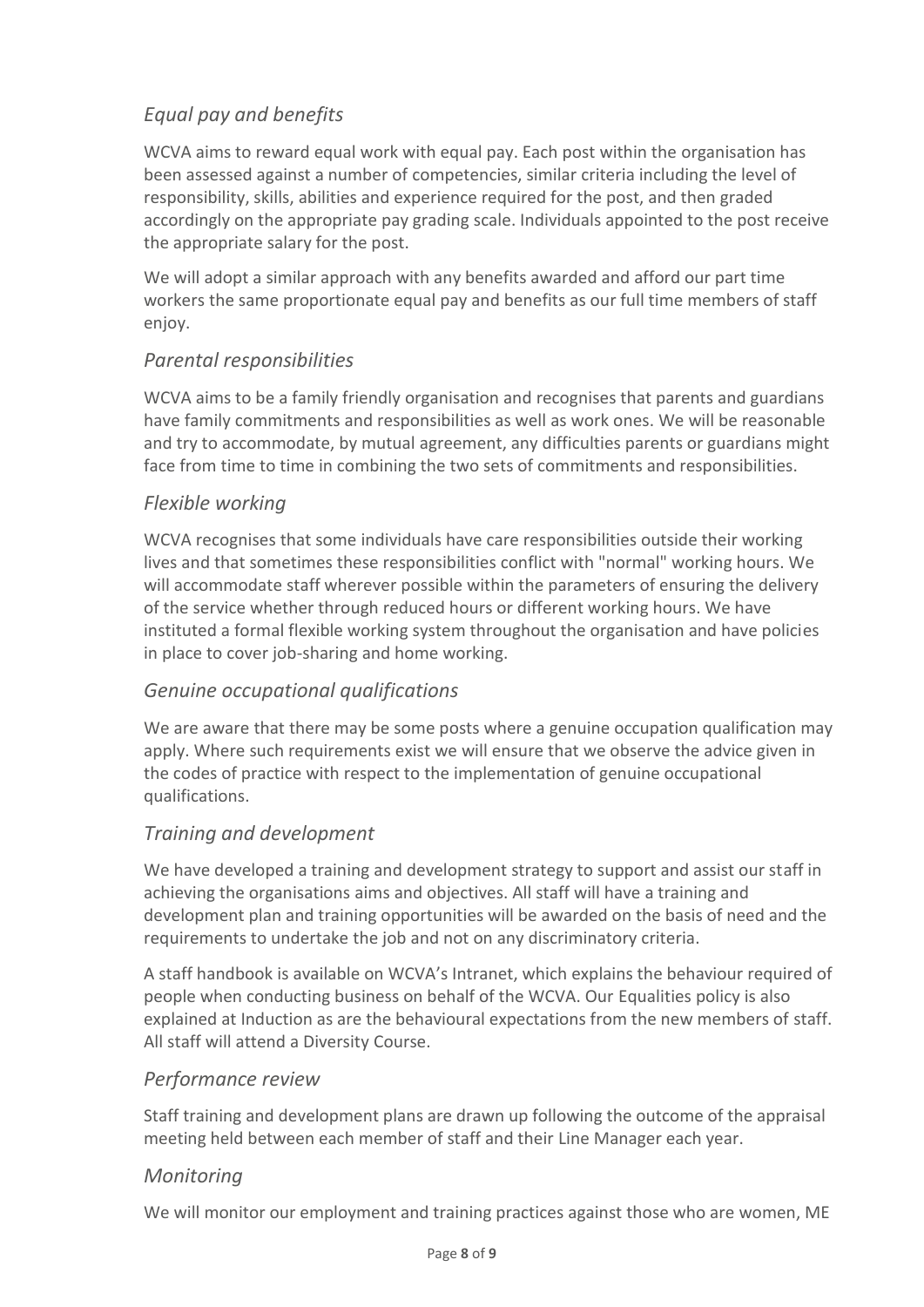## <span id="page-7-0"></span>*Equal pay and benefits*

WCVA aims to reward equal work with equal pay. Each post within the organisation has been assessed against a number of competencies, similar criteria including the level of responsibility, skills, abilities and experience required for the post, and then graded accordingly on the appropriate pay grading scale. Individuals appointed to the post receive the appropriate salary for the post.

We will adopt a similar approach with any benefits awarded and afford our part time workers the same proportionate equal pay and benefits as our full time members of staff enjoy.

### <span id="page-7-1"></span>*Parental responsibilities*

WCVA aims to be a family friendly organisation and recognises that parents and guardians have family commitments and responsibilities as well as work ones. We will be reasonable and try to accommodate, by mutual agreement, any difficulties parents or guardians might face from time to time in combining the two sets of commitments and responsibilities.

### <span id="page-7-2"></span>*Flexible working*

WCVA recognises that some individuals have care responsibilities outside their working lives and that sometimes these responsibilities conflict with "normal" working hours. We will accommodate staff wherever possible within the parameters of ensuring the delivery of the service whether through reduced hours or different working hours. We have instituted a formal flexible working system throughout the organisation and have policies in place to cover job-sharing and home working.

## <span id="page-7-3"></span>*Genuine occupational qualifications*

We are aware that there may be some posts where a genuine occupation qualification may apply. Where such requirements exist we will ensure that we observe the advice given in the codes of practice with respect to the implementation of genuine occupational qualifications.

## <span id="page-7-4"></span>*Training and development*

We have developed a training and development strategy to support and assist our staff in achieving the organisations aims and objectives. All staff will have a training and development plan and training opportunities will be awarded on the basis of need and the requirements to undertake the job and not on any discriminatory criteria.

A staff handbook is available on WCVA's Intranet, which explains the behaviour required of people when conducting business on behalf of the WCVA. Our Equalities policy is also explained at Induction as are the behavioural expectations from the new members of staff. All staff will attend a Diversity Course.

#### <span id="page-7-5"></span>*Performance review*

Staff training and development plans are drawn up following the outcome of the appraisal meeting held between each member of staff and their Line Manager each year.

#### <span id="page-7-6"></span>*Monitoring*

We will monitor our employment and training practices against those who are women, ME